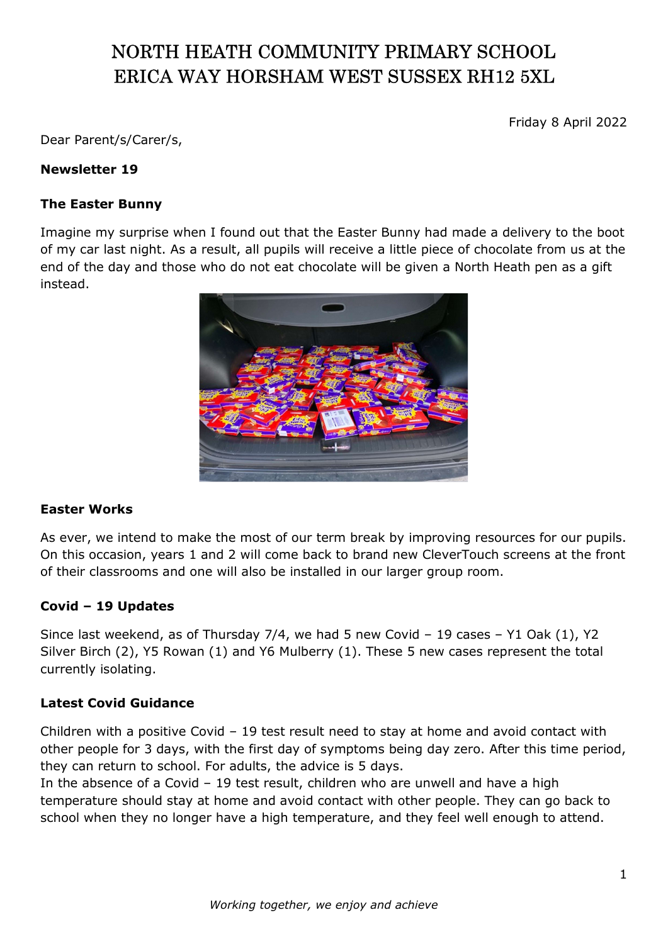# NORTH HEATH COMMUNITY PRIMARY SCHOOL ERICA WAY HORSHAM WEST SUSSEX RH12 5XL

Friday 8 April 2022

Dear Parent/s/Carer/s,

## Newsletter 19

#### The Easter Bunny

Imagine my surprise when I found out that the Easter Bunny had made a delivery to the boot of my car last night. As a result, all pupils will receive a little piece of chocolate from us at the end of the day and those who do not eat chocolate will be given a North Heath pen as a gift instead.



#### Easter Works

As ever, we intend to make the most of our term break by improving resources for our pupils. On this occasion, years 1 and 2 will come back to brand new CleverTouch screens at the front of their classrooms and one will also be installed in our larger group room.

#### Covid – 19 Updates

Since last weekend, as of Thursday 7/4, we had 5 new Covid – 19 cases – Y1 Oak (1), Y2 Silver Birch (2), Y5 Rowan (1) and Y6 Mulberry (1). These 5 new cases represent the total currently isolating.

## Latest Covid Guidance

Children with a positive Covid – 19 test result need to stay at home and avoid contact with other people for 3 days, with the first day of symptoms being day zero. After this time period, they can return to school. For adults, the advice is 5 days.

In the absence of a Covid – 19 test result, children who are unwell and have a high temperature should stay at home and avoid contact with other people. They can go back to school when they no longer have a high temperature, and they feel well enough to attend.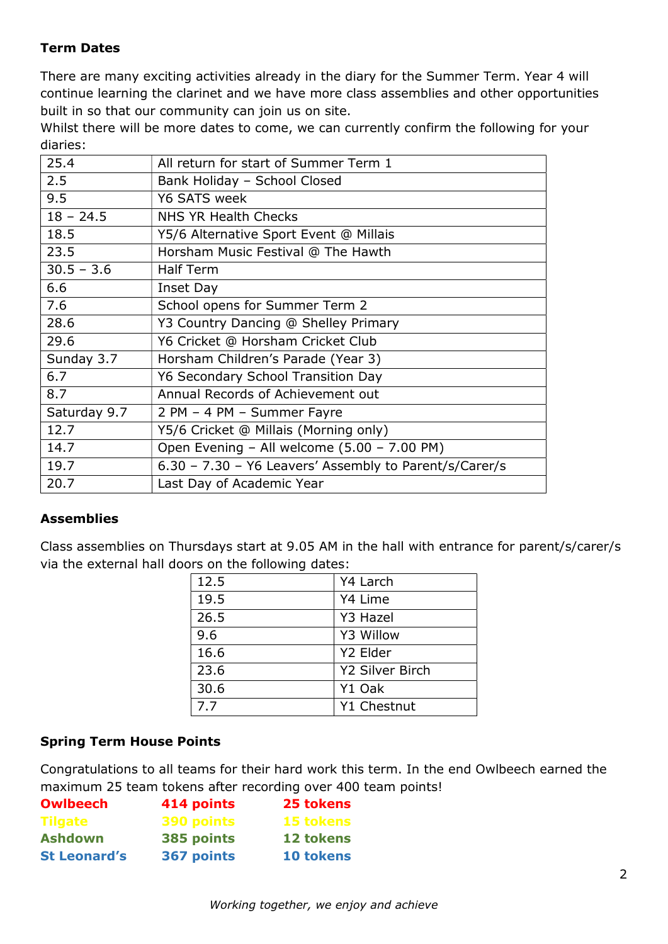## Term Dates

There are many exciting activities already in the diary for the Summer Term. Year 4 will continue learning the clarinet and we have more class assemblies and other opportunities built in so that our community can join us on site.

Whilst there will be more dates to come, we can currently confirm the following for your diaries:

| 25.4         | All return for start of Summer Term 1                  |  |
|--------------|--------------------------------------------------------|--|
| 2.5          | Bank Holiday - School Closed                           |  |
| 9.5          | Y6 SATS week                                           |  |
| $18 - 24.5$  | NHS YR Health Checks                                   |  |
| 18.5         | Y5/6 Alternative Sport Event @ Millais                 |  |
| 23.5         | Horsham Music Festival @ The Hawth                     |  |
| $30.5 - 3.6$ | <b>Half Term</b>                                       |  |
| 6.6          | Inset Day                                              |  |
| 7.6          | School opens for Summer Term 2                         |  |
| 28.6         | Y3 Country Dancing @ Shelley Primary                   |  |
| 29.6         | Y6 Cricket @ Horsham Cricket Club                      |  |
| Sunday 3.7   | Horsham Children's Parade (Year 3)                     |  |
| 6.7          | Y6 Secondary School Transition Day                     |  |
| 8.7          | Annual Records of Achievement out                      |  |
| Saturday 9.7 | 2 PM - 4 PM - Summer Fayre                             |  |
| 12.7         | Y5/6 Cricket @ Millais (Morning only)                  |  |
| 14.7         | Open Evening - All welcome (5.00 - 7.00 PM)            |  |
| 19.7         | 6.30 - 7.30 - Y6 Leavers' Assembly to Parent/s/Carer/s |  |
| 20.7         | Last Day of Academic Year                              |  |

## Assemblies

Class assemblies on Thursdays start at 9.05 AM in the hall with entrance for parent/s/carer/s via the external hall doors on the following dates:

| 12.5 | Y4 Larch               |  |
|------|------------------------|--|
| 19.5 | Y4 Lime                |  |
| 26.5 | Y3 Hazel               |  |
| 9.6  | Y3 Willow              |  |
| 16.6 | Y2 Elder               |  |
| 23.6 | <b>Y2 Silver Birch</b> |  |
| 30.6 | Y1 Oak                 |  |
| 7.7  | Y1 Chestnut            |  |

## Spring Term House Points

Congratulations to all teams for their hard work this term. In the end Owlbeech earned the maximum 25 team tokens after recording over 400 team points!

| <b>Owlbeech</b>     | 414 points | 25 tokens        |
|---------------------|------------|------------------|
| <b>Tilgate</b>      | 390 points | <b>15 tokens</b> |
| <b>Ashdown</b>      | 385 points | 12 tokens        |
| <b>St Leonard's</b> | 367 points | 10 tokens        |